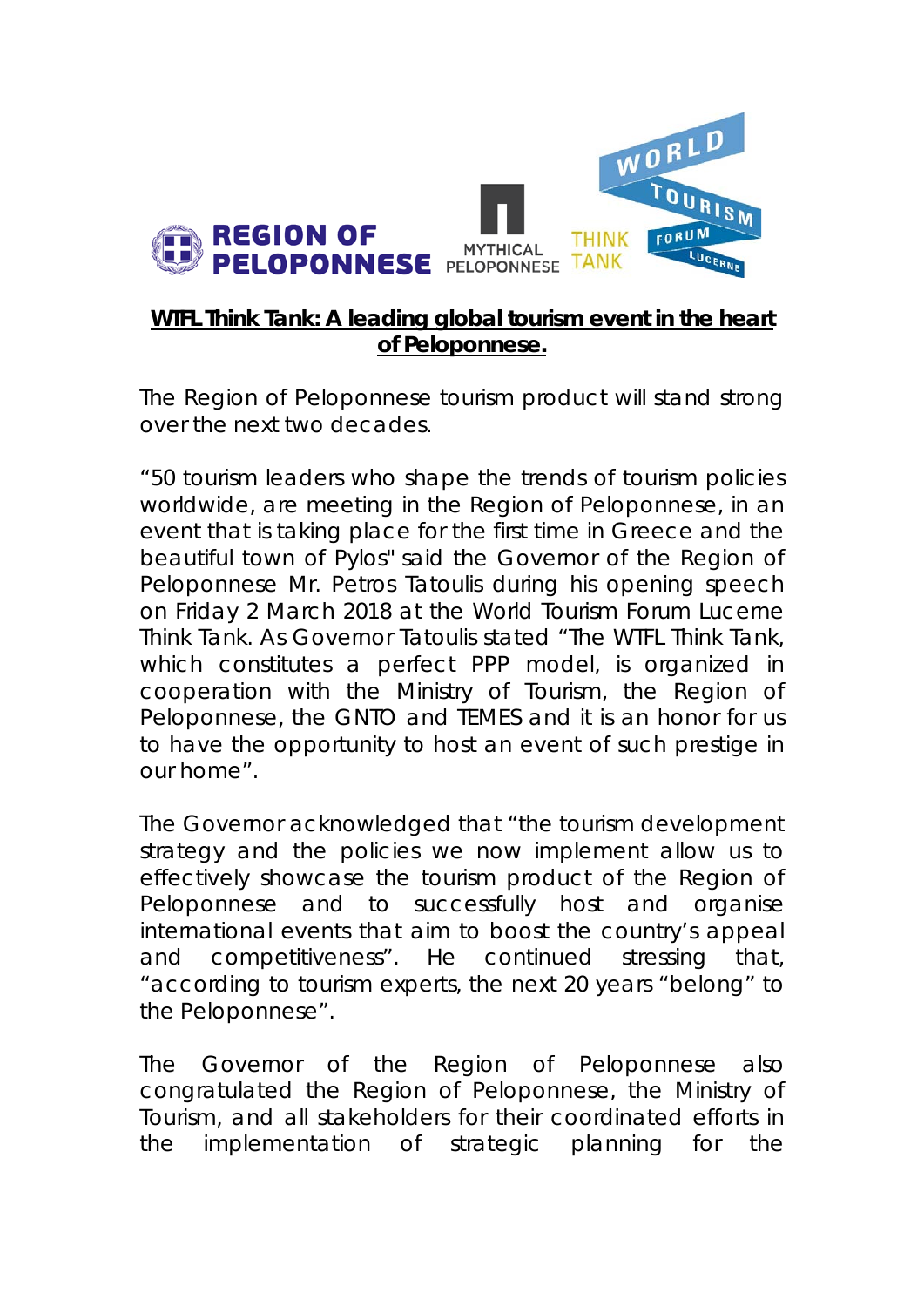

## **WTFL Think Tank: A leading global tourism event in the heart of Peloponnese.**

The Region of Peloponnese tourism product will stand strong over the next two decades.

"50 tourism leaders who shape the trends of tourism policies worldwide, are meeting in the Region of Peloponnese, in an event that is taking place for the first time in Greece and the beautiful town of Pylos" said the Governor of the Region of Peloponnese Mr. Petros Tatoulis during his opening speech on Friday 2 March 2018 at the World Tourism Forum Lucerne Think Tank. As Governor Tatoulis stated "The WTFL Think Tank, which constitutes a perfect PPP model, is organized in cooperation with the Ministry of Tourism, the Region of Peloponnese, the GNTO and TEMES and it is an honor for us to have the opportunity to host an event of such prestige in our home".

The Governor acknowledged that "the tourism development strategy and the policies we now implement allow us to effectively showcase the tourism product of the Region of Peloponnese and to successfully host and organise international events that aim to boost the country's appeal and competitiveness". He continued stressing that, "according to tourism experts, the next 20 years "belong" to the Peloponnese".

The Governor of the Region of Peloponnese also congratulated the Region of Peloponnese, the Ministry of Tourism, and all stakeholders for their coordinated efforts in the implementation of strategic planning for the